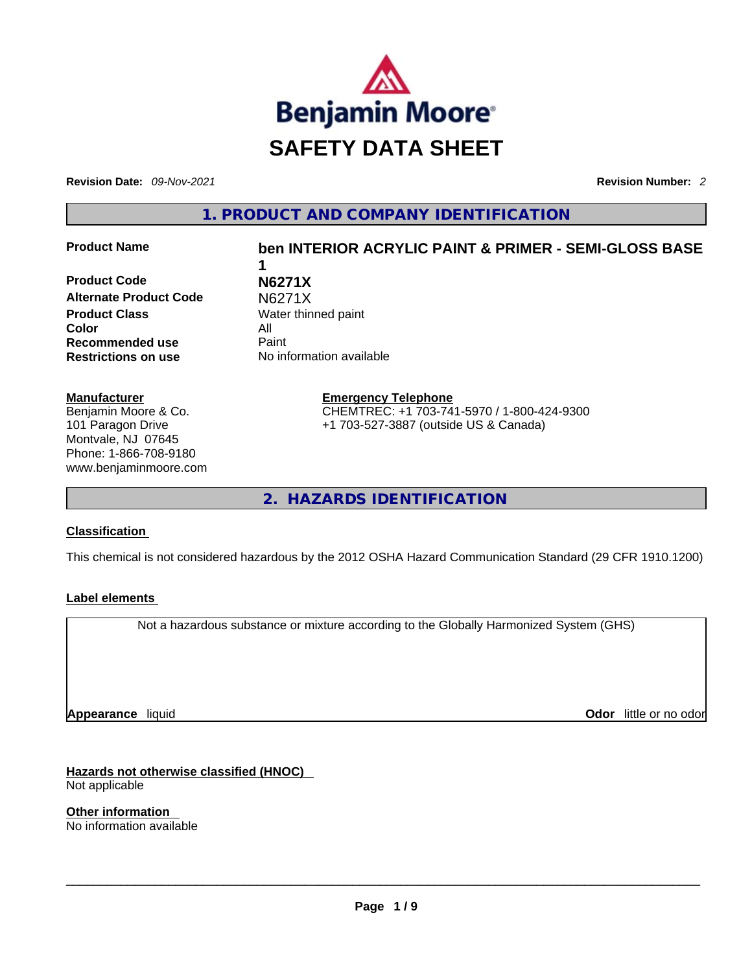

**Revision Date:** *09-Nov-2021* **Revision Number:** *2*

**1. PRODUCT AND COMPANY IDENTIFICATION** 

**Product Code N6271X Alternate Product Code M6271X Product Class Water thinned paint Color** All **Recommended use** Paint

# **Product Name ben INTERIOR ACRYLIC PAINT & PRIMER - SEMI-GLOSS BASE 1**

**Restrictions on use** No information available

**Manufacturer** Benjamin Moore & Co. 101 Paragon Drive Montvale, NJ 07645 Phone: 1-866-708-9180 www.benjaminmoore.com **Emergency Telephone** CHEMTREC: +1 703-741-5970 / 1-800-424-9300 +1 703-527-3887 (outside US & Canada)

**2. HAZARDS IDENTIFICATION** 

## **Classification**

This chemical is not considered hazardous by the 2012 OSHA Hazard Communication Standard (29 CFR 1910.1200)

## **Label elements**

Not a hazardous substance or mixture according to the Globally Harmonized System (GHS)

**Appearance** liquid

**Odor** little or no odor

**Hazards not otherwise classified (HNOC)**  Not applicable

**Other information**  No information available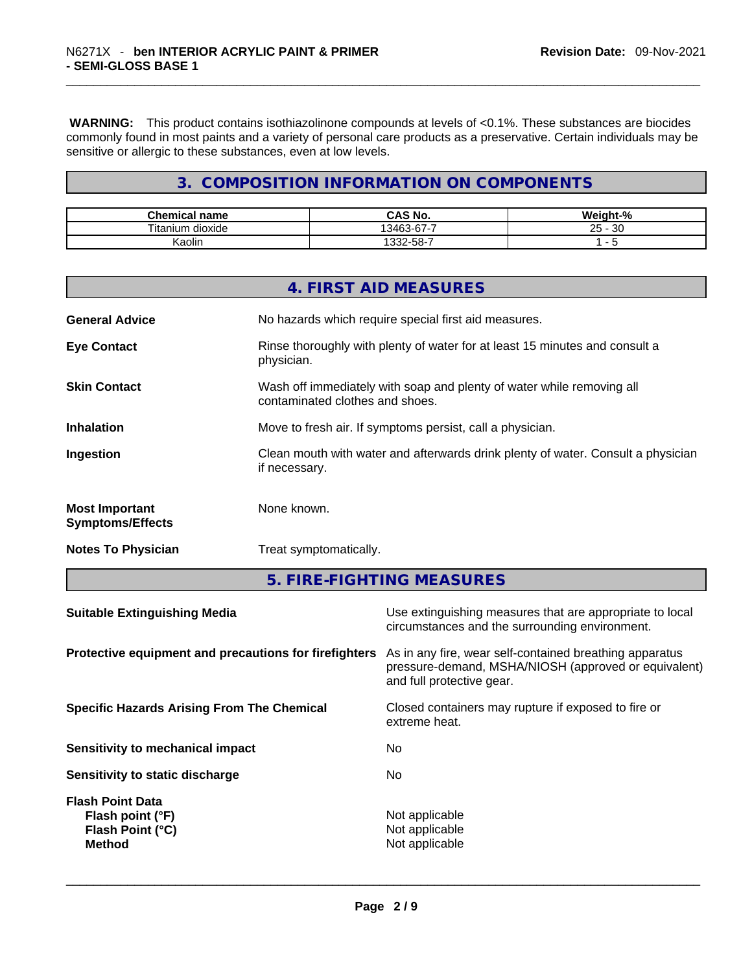**WARNING:** This product contains isothiazolinone compounds at levels of <0.1%. These substances are biocides commonly found in most paints and a variety of personal care products as a preservative. Certain individuals may be sensitive or allergic to these substances, even at low levels.

# **3. COMPOSITION INFORMATION ON COMPONENTS**

| Chemical<br>name    | <b>CAS No.</b>   | Weight-% |
|---------------------|------------------|----------|
| Titanium<br>dioxide | 33-67-7<br>13163 | 30<br>25 |
| Kaolin              | . აა∠-ხა-        |          |

|                                                  | 4. FIRST AID MEASURES                                                                                    |
|--------------------------------------------------|----------------------------------------------------------------------------------------------------------|
| <b>General Advice</b>                            | No hazards which require special first aid measures.                                                     |
| <b>Eye Contact</b>                               | Rinse thoroughly with plenty of water for at least 15 minutes and consult a<br>physician.                |
| <b>Skin Contact</b>                              | Wash off immediately with soap and plenty of water while removing all<br>contaminated clothes and shoes. |
| <b>Inhalation</b>                                | Move to fresh air. If symptoms persist, call a physician.                                                |
| Ingestion                                        | Clean mouth with water and afterwards drink plenty of water. Consult a physician<br>if necessary.        |
| <b>Most Important</b><br><b>Symptoms/Effects</b> | None known.                                                                                              |
| <b>Notes To Physician</b>                        | Treat symptomatically.                                                                                   |

**5. FIRE-FIGHTING MEASURES** 

| <b>Suitable Extinguishing Media</b>                                              | Use extinguishing measures that are appropriate to local<br>circumstances and the surrounding environment.                                   |
|----------------------------------------------------------------------------------|----------------------------------------------------------------------------------------------------------------------------------------------|
| Protective equipment and precautions for firefighters                            | As in any fire, wear self-contained breathing apparatus<br>pressure-demand, MSHA/NIOSH (approved or equivalent)<br>and full protective gear. |
| <b>Specific Hazards Arising From The Chemical</b>                                | Closed containers may rupture if exposed to fire or<br>extreme heat.                                                                         |
| Sensitivity to mechanical impact                                                 | No.                                                                                                                                          |
| Sensitivity to static discharge                                                  | No.                                                                                                                                          |
| <b>Flash Point Data</b><br>Flash point (°F)<br>Flash Point (°C)<br><b>Method</b> | Not applicable<br>Not applicable<br>Not applicable                                                                                           |
|                                                                                  |                                                                                                                                              |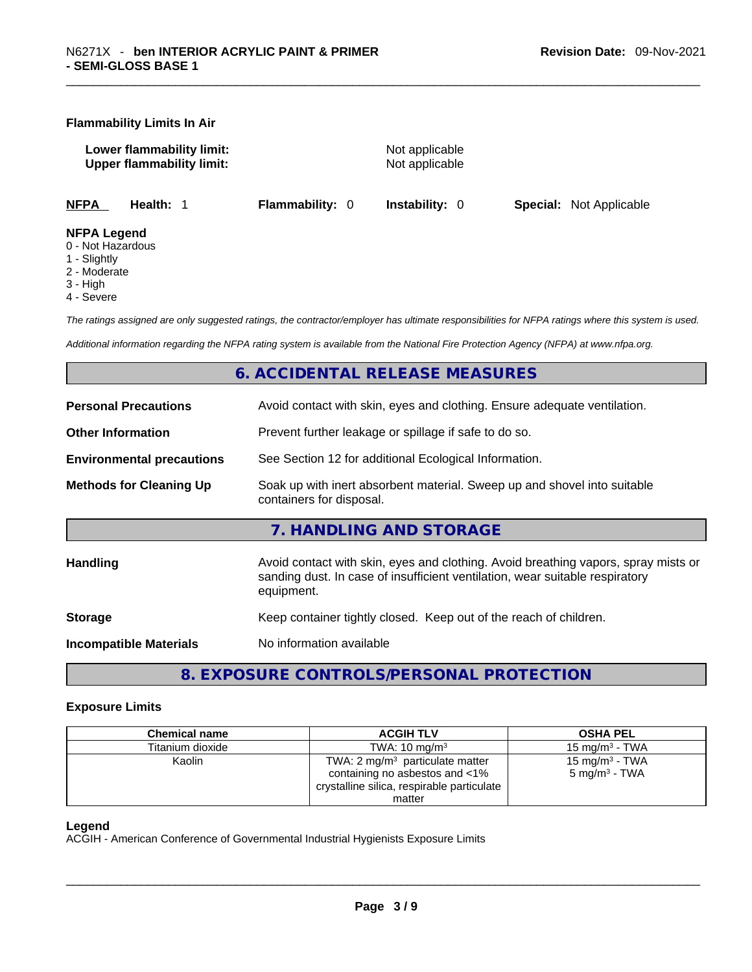#### **Flammability Limits In Air**

**Lower flammability limit:** Not applicable **Upper flammability limit:** Not applicable

**NFPA Health:** 1 **Flammability:** 0 **Instability:** 0 **Special:** Not Applicable

#### **NFPA Legend**

- 0 Not Hazardous
- 1 Slightly
- 2 Moderate
- 3 High
- 4 Severe

*The ratings assigned are only suggested ratings, the contractor/employer has ultimate responsibilities for NFPA ratings where this system is used.* 

*Additional information regarding the NFPA rating system is available from the National Fire Protection Agency (NFPA) at www.nfpa.org.* 

# **6. ACCIDENTAL RELEASE MEASURES**

| <b>Personal Precautions</b>      | Avoid contact with skin, eyes and clothing. Ensure adequate ventilation.                                                                                                         |
|----------------------------------|----------------------------------------------------------------------------------------------------------------------------------------------------------------------------------|
| <b>Other Information</b>         | Prevent further leakage or spillage if safe to do so.                                                                                                                            |
| <b>Environmental precautions</b> | See Section 12 for additional Ecological Information.                                                                                                                            |
| <b>Methods for Cleaning Up</b>   | Soak up with inert absorbent material. Sweep up and shovel into suitable<br>containers for disposal.                                                                             |
|                                  | 7. HANDLING AND STORAGE                                                                                                                                                          |
|                                  |                                                                                                                                                                                  |
| Handling                         | Avoid contact with skin, eyes and clothing. Avoid breathing vapors, spray mists or<br>sanding dust. In case of insufficient ventilation, wear suitable respiratory<br>equipment. |
| <b>Storage</b>                   | Keep container tightly closed. Keep out of the reach of children.                                                                                                                |

# **8. EXPOSURE CONTROLS/PERSONAL PROTECTION**

#### **Exposure Limits**

| <b>Chemical name</b> | <b>ACGIH TLV</b>                                                             | <b>OSHA PEL</b>                                |
|----------------------|------------------------------------------------------------------------------|------------------------------------------------|
| Titanium dioxide     | TWA: $10 \text{ mg/m}^3$                                                     | 15 mg/m $3$ - TWA                              |
| Kaolin               | TWA: $2 \text{ mg/m}^3$ particulate matter<br>containing no asbestos and <1% | 15 mg/m $3$ - TWA<br>5 mg/m <sup>3</sup> - TWA |
|                      | crystalline silica, respirable particulate                                   |                                                |
|                      | matter                                                                       |                                                |

#### **Legend**

ACGIH - American Conference of Governmental Industrial Hygienists Exposure Limits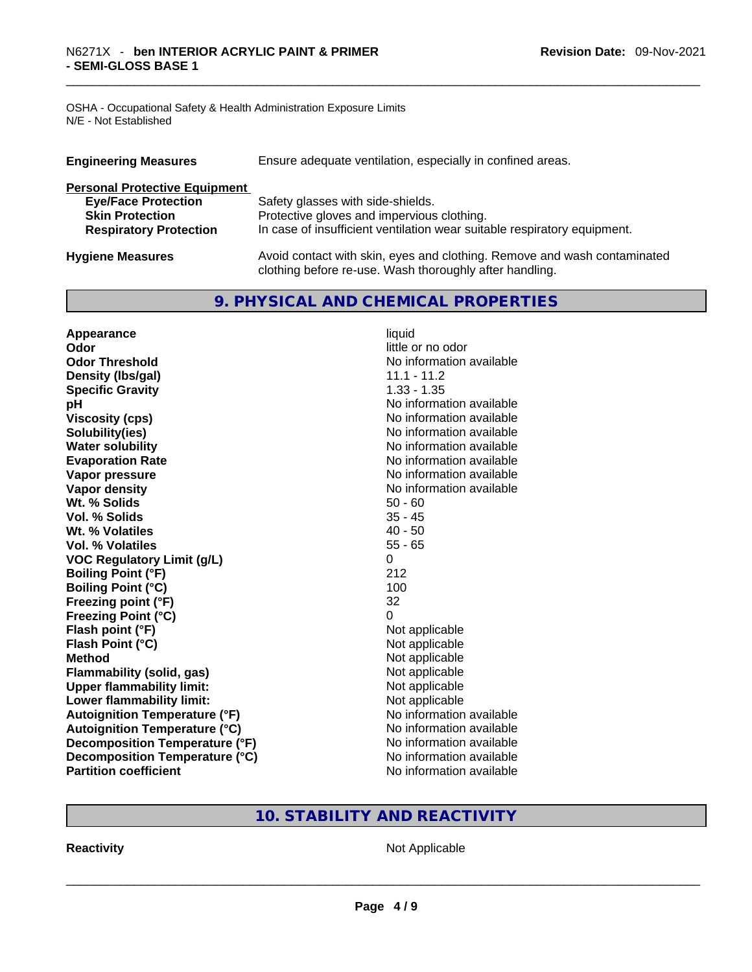OSHA - Occupational Safety & Health Administration Exposure Limits N/E - Not Established

| <b>Engineering Measures</b>          | Ensure adequate ventilation, especially in confined areas.                                                                          |
|--------------------------------------|-------------------------------------------------------------------------------------------------------------------------------------|
| <b>Personal Protective Equipment</b> |                                                                                                                                     |
| <b>Eye/Face Protection</b>           | Safety glasses with side-shields.                                                                                                   |
| <b>Skin Protection</b>               | Protective gloves and impervious clothing.                                                                                          |
| <b>Respiratory Protection</b>        | In case of insufficient ventilation wear suitable respiratory equipment.                                                            |
| <b>Hygiene Measures</b>              | Avoid contact with skin, eyes and clothing. Remove and wash contaminated<br>clothing before re-use. Wash thoroughly after handling. |

# **9. PHYSICAL AND CHEMICAL PROPERTIES**

| Appearance                           | liquid                   |
|--------------------------------------|--------------------------|
| Odor                                 | little or no odor        |
| <b>Odor Threshold</b>                | No information available |
| Density (Ibs/gal)                    | 11.1 - 11.2              |
| <b>Specific Gravity</b>              | $1.33 - 1.35$            |
| pH                                   | No information available |
| <b>Viscosity (cps)</b>               | No information available |
| Solubility(ies)                      | No information available |
| <b>Water solubility</b>              | No information available |
| <b>Evaporation Rate</b>              | No information available |
| Vapor pressure                       | No information available |
| <b>Vapor density</b>                 | No information available |
| Wt. % Solids                         | $50 - 60$                |
| Vol. % Solids                        | $35 - 45$                |
| Wt. % Volatiles                      | $40 - 50$                |
| Vol. % Volatiles                     | $55 - 65$                |
| <b>VOC Regulatory Limit (g/L)</b>    | 0                        |
| <b>Boiling Point (°F)</b>            | 212                      |
| <b>Boiling Point (°C)</b>            | 100                      |
| Freezing point (°F)                  | 32                       |
| <b>Freezing Point (°C)</b>           | $\Omega$                 |
| Flash point (°F)                     | Not applicable           |
| Flash Point (°C)                     | Not applicable           |
| <b>Method</b>                        | Not applicable           |
| <b>Flammability (solid, gas)</b>     | Not applicable           |
| <b>Upper flammability limit:</b>     | Not applicable           |
| Lower flammability limit:            | Not applicable           |
| <b>Autoignition Temperature (°F)</b> | No information available |
| <b>Autoignition Temperature (°C)</b> | No information available |
| Decomposition Temperature (°F)       | No information available |
| Decomposition Temperature (°C)       | No information available |
| <b>Partition coefficient</b>         | No information available |

# **10. STABILITY AND REACTIVITY**

**Reactivity** Not Applicable \_\_\_\_\_\_\_\_\_\_\_\_\_\_\_\_\_\_\_\_\_\_\_\_\_\_\_\_\_\_\_\_\_\_\_\_\_\_\_\_\_\_\_\_\_\_\_\_\_\_\_\_\_\_\_\_\_\_\_\_\_\_\_\_\_\_\_\_\_\_\_\_\_\_\_\_\_\_\_\_\_\_\_\_\_\_\_\_\_\_\_\_\_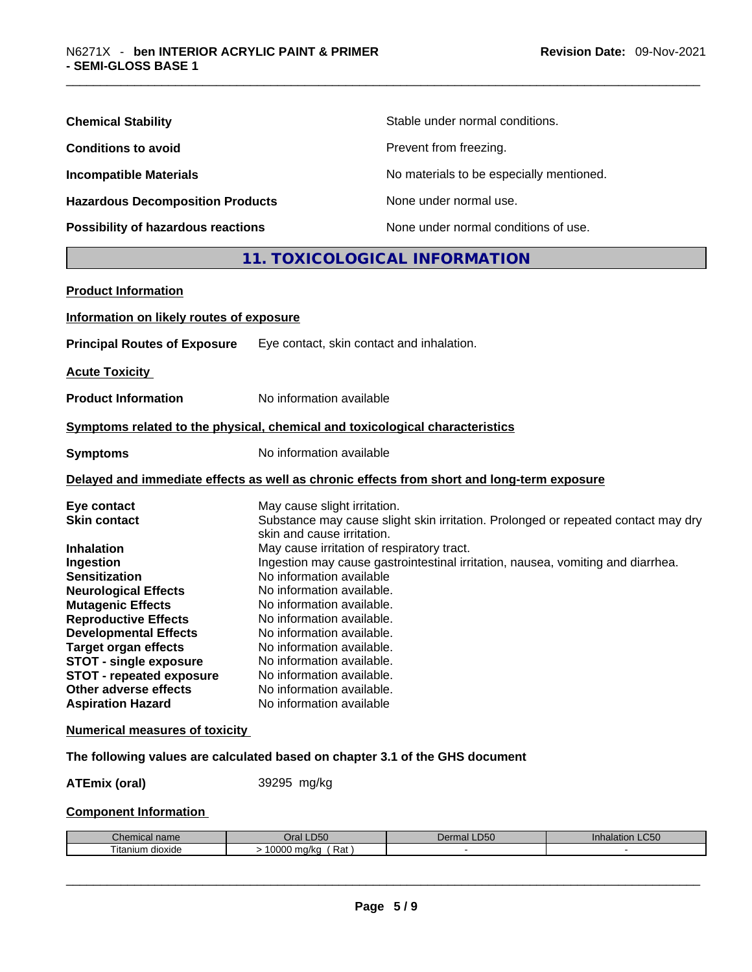| <b>Chemical Stability</b>               | Stable under normal conditions.          |
|-----------------------------------------|------------------------------------------|
| <b>Conditions to avoid</b>              | Prevent from freezing.                   |
| <b>Incompatible Materials</b>           | No materials to be especially mentioned. |
| <b>Hazardous Decomposition Products</b> | None under normal use.                   |
| Possibility of hazardous reactions      | None under normal conditions of use.     |

# **11. TOXICOLOGICAL INFORMATION**

| <b>Product Information</b>                                                                                                                                                                                                                                                                                                                                                     |                                                                                                                                                                                                                                                                                                                                                                                                                                                                                                                                                                                  |
|--------------------------------------------------------------------------------------------------------------------------------------------------------------------------------------------------------------------------------------------------------------------------------------------------------------------------------------------------------------------------------|----------------------------------------------------------------------------------------------------------------------------------------------------------------------------------------------------------------------------------------------------------------------------------------------------------------------------------------------------------------------------------------------------------------------------------------------------------------------------------------------------------------------------------------------------------------------------------|
| Information on likely routes of exposure                                                                                                                                                                                                                                                                                                                                       |                                                                                                                                                                                                                                                                                                                                                                                                                                                                                                                                                                                  |
| <b>Principal Routes of Exposure</b>                                                                                                                                                                                                                                                                                                                                            | Eye contact, skin contact and inhalation.                                                                                                                                                                                                                                                                                                                                                                                                                                                                                                                                        |
| <b>Acute Toxicity</b>                                                                                                                                                                                                                                                                                                                                                          |                                                                                                                                                                                                                                                                                                                                                                                                                                                                                                                                                                                  |
| <b>Product Information</b>                                                                                                                                                                                                                                                                                                                                                     | No information available                                                                                                                                                                                                                                                                                                                                                                                                                                                                                                                                                         |
|                                                                                                                                                                                                                                                                                                                                                                                | Symptoms related to the physical, chemical and toxicological characteristics                                                                                                                                                                                                                                                                                                                                                                                                                                                                                                     |
| <b>Symptoms</b>                                                                                                                                                                                                                                                                                                                                                                | No information available                                                                                                                                                                                                                                                                                                                                                                                                                                                                                                                                                         |
|                                                                                                                                                                                                                                                                                                                                                                                | Delayed and immediate effects as well as chronic effects from short and long-term exposure                                                                                                                                                                                                                                                                                                                                                                                                                                                                                       |
| Eye contact<br><b>Skin contact</b><br><b>Inhalation</b><br>Ingestion<br><b>Sensitization</b><br><b>Neurological Effects</b><br><b>Mutagenic Effects</b><br><b>Reproductive Effects</b><br><b>Developmental Effects</b><br><b>Target organ effects</b><br><b>STOT - single exposure</b><br><b>STOT - repeated exposure</b><br>Other adverse effects<br><b>Aspiration Hazard</b> | May cause slight irritation.<br>Substance may cause slight skin irritation. Prolonged or repeated contact may dry<br>skin and cause irritation.<br>May cause irritation of respiratory tract.<br>Ingestion may cause gastrointestinal irritation, nausea, vomiting and diarrhea.<br>No information available<br>No information available.<br>No information available.<br>No information available.<br>No information available.<br>No information available.<br>No information available.<br>No information available.<br>No information available.<br>No information available |
| <b>Numerical measures of toxicity</b>                                                                                                                                                                                                                                                                                                                                          |                                                                                                                                                                                                                                                                                                                                                                                                                                                                                                                                                                                  |

# **The following values are calculated based on chapter 3.1 of the GHS document**

**ATEmix (oral)** 39295 mg/kg

# **Component Information**

| Chemical<br>name                  | $P^{\prime}$<br>)ral<br>.DSU         | D <sub>0</sub><br><b>LD50</b><br>. J.<br>чно. | $\sim$ $\sim$ $\sim$<br>ınnaıat<br>-USU |
|-----------------------------------|--------------------------------------|-----------------------------------------------|-----------------------------------------|
| $- \cdot$ .<br>ıtanıum<br>dioxide | 0.000<br>Rat<br>na/ka<br><b>UUUU</b> |                                               |                                         |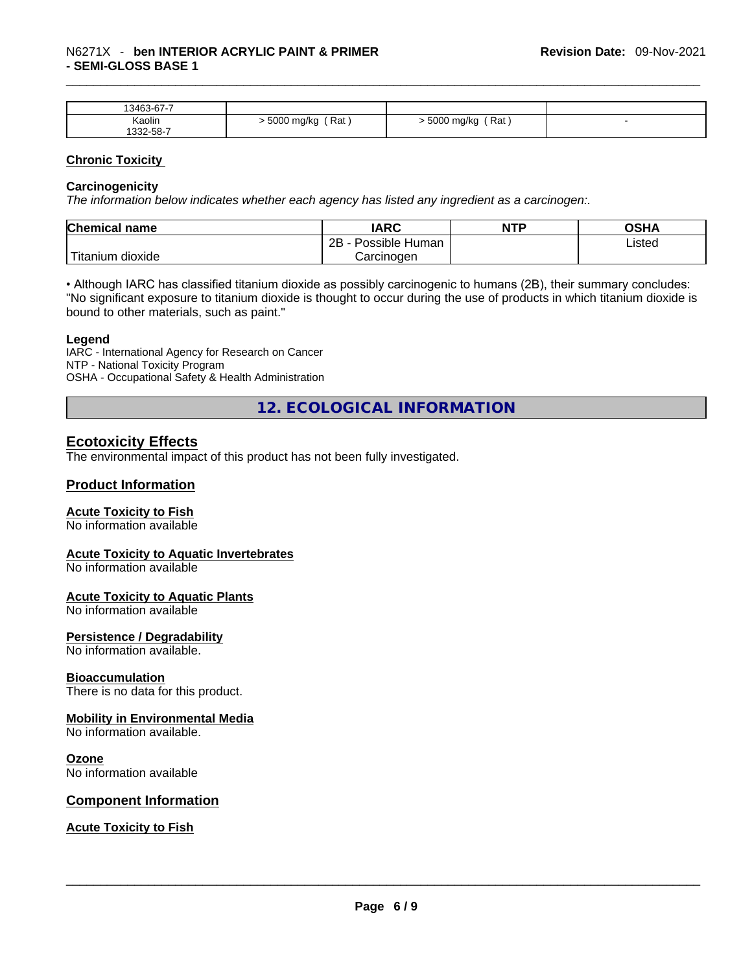| 13463-67-7 |                     |                      |  |
|------------|---------------------|----------------------|--|
| Kaolin     | Rat<br>∙ 5000 mg/kg | `Rat j<br>5000 mg/kg |  |
| 332-58-7   |                     |                      |  |

#### **Chronic Toxicity**

#### **Carcinogenicity**

*The information below indicates whether each agency has listed any ingredient as a carcinogen:.* 

| <b>Chemical name</b>    | IARC                 | <b>NTP</b> | OSHA   |
|-------------------------|----------------------|------------|--------|
|                         | 2Β<br>Possible Human |            | Listed |
| ' Titanium J<br>dioxide | Carcinoɑen           |            |        |

• Although IARC has classified titanium dioxide as possibly carcinogenic to humans (2B), their summary concludes: "No significant exposure to titanium dioxide is thought to occur during the use of products in which titanium dioxide is bound to other materials, such as paint."

#### **Legend**

IARC - International Agency for Research on Cancer NTP - National Toxicity Program OSHA - Occupational Safety & Health Administration

**12. ECOLOGICAL INFORMATION** 

# **Ecotoxicity Effects**

The environmental impact of this product has not been fully investigated.

#### **Product Information**

#### **Acute Toxicity to Fish**

No information available

#### **Acute Toxicity to Aquatic Invertebrates**

No information available

#### **Acute Toxicity to Aquatic Plants**

No information available

#### **Persistence / Degradability**

No information available.

#### **Bioaccumulation**

There is no data for this product.

#### **Mobility in Environmental Media**

No information available.

#### **Ozone**

No information available

#### **Component Information**

**Acute Toxicity to Fish**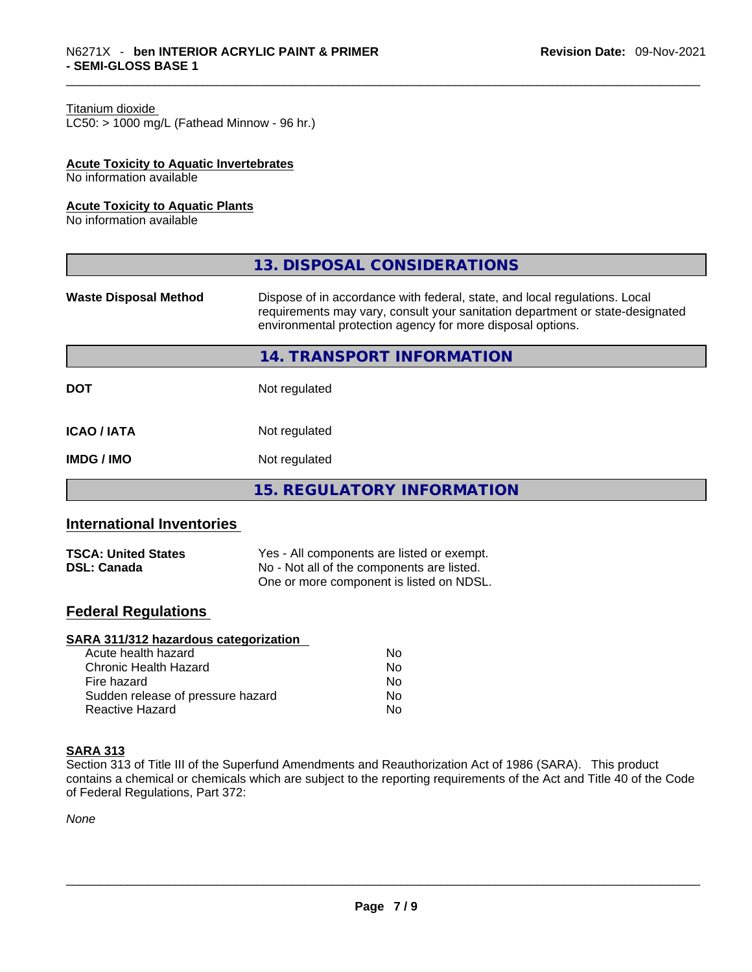#### Titanium dioxide

 $LCS0:$  > 1000 mg/L (Fathead Minnow - 96 hr.)

#### **Acute Toxicity to Aquatic Invertebrates**

No information available

#### **Acute Toxicity to Aquatic Plants**

No information available

|                              | 13. DISPOSAL CONSIDERATIONS                                                                                                                                                                                               |  |
|------------------------------|---------------------------------------------------------------------------------------------------------------------------------------------------------------------------------------------------------------------------|--|
| <b>Waste Disposal Method</b> | Dispose of in accordance with federal, state, and local regulations. Local<br>requirements may vary, consult your sanitation department or state-designated<br>environmental protection agency for more disposal options. |  |
|                              | 14. TRANSPORT INFORMATION                                                                                                                                                                                                 |  |
| <b>DOT</b>                   | Not regulated                                                                                                                                                                                                             |  |
| <b>ICAO / IATA</b>           | Not regulated                                                                                                                                                                                                             |  |
| <b>IMDG/IMO</b>              | Not regulated                                                                                                                                                                                                             |  |
|                              | <b>15. REGULATORY INFORMATION</b>                                                                                                                                                                                         |  |

# **International Inventories**

| <b>TSCA: United States</b> | Yes - All components are listed or exempt. |
|----------------------------|--------------------------------------------|
| <b>DSL: Canada</b>         | No - Not all of the components are listed. |
|                            | One or more component is listed on NDSL.   |

# **Federal Regulations**

#### **SARA 311/312 hazardous categorization**

| Acute health hazard               | No. |  |
|-----------------------------------|-----|--|
| Chronic Health Hazard             | No. |  |
| Fire hazard                       | No  |  |
| Sudden release of pressure hazard | No. |  |
| Reactive Hazard                   | Nο  |  |

#### **SARA 313**

Section 313 of Title III of the Superfund Amendments and Reauthorization Act of 1986 (SARA). This product contains a chemical or chemicals which are subject to the reporting requirements of the Act and Title 40 of the Code of Federal Regulations, Part 372:

*None*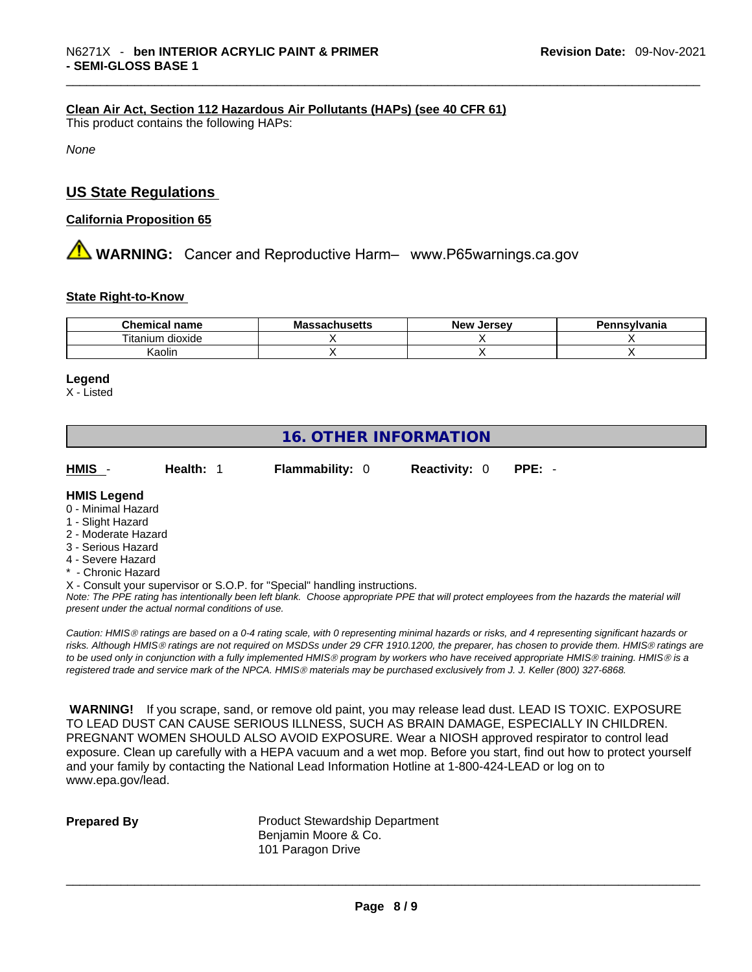#### **Clean Air Act,Section 112 Hazardous Air Pollutants (HAPs) (see 40 CFR 61)**

This product contains the following HAPs:

*None*

# **US State Regulations**

#### **California Proposition 65**

**A** WARNING: Cancer and Reproductive Harm– www.P65warnings.ca.gov

#### **State Right-to-Know**

| <b>Chemical</b><br>name       | Ma<br>uuseus | New<br><b>Jersev</b> | าทรงIvania |
|-------------------------------|--------------|----------------------|------------|
| <br>--<br>⊺ıtanıum<br>dioxide |              |                      |            |
| . .<br>Kaolin                 |              |                      |            |

#### **Legend**

X - Listed

# **16. OTHER INFORMATION**

**HMIS** - **Health:** 1 **Flammability:** 0 **Reactivity:** 0 **PPE:** -

#### **HMIS Legend**

- 0 Minimal Hazard
- 1 Slight Hazard
- 2 Moderate Hazard
- 3 Serious Hazard
- 4 Severe Hazard
- \* Chronic Hazard

X - Consult your supervisor or S.O.P. for "Special" handling instructions.

Note: The PPE rating has intentionally been left blank. Choose appropriate PPE that will protect employees from the hazards the material will *present under the actual normal conditions of use.* 

*Caution: HMISÒ ratings are based on a 0-4 rating scale, with 0 representing minimal hazards or risks, and 4 representing significant hazards or risks. Although HMISÒ ratings are not required on MSDSs under 29 CFR 1910.1200, the preparer, has chosen to provide them. HMISÒ ratings are to be used only in conjunction with a fully implemented HMISÒ program by workers who have received appropriate HMISÒ training. HMISÒ is a registered trade and service mark of the NPCA. HMISÒ materials may be purchased exclusively from J. J. Keller (800) 327-6868.* 

 **WARNING!** If you scrape, sand, or remove old paint, you may release lead dust. LEAD IS TOXIC. EXPOSURE TO LEAD DUST CAN CAUSE SERIOUS ILLNESS, SUCH AS BRAIN DAMAGE, ESPECIALLY IN CHILDREN. PREGNANT WOMEN SHOULD ALSO AVOID EXPOSURE.Wear a NIOSH approved respirator to control lead exposure. Clean up carefully with a HEPA vacuum and a wet mop. Before you start, find out how to protect yourself and your family by contacting the National Lead Information Hotline at 1-800-424-LEAD or log on to www.epa.gov/lead.

**Prepared By Product Stewardship Department** Benjamin Moore & Co. 101 Paragon Drive